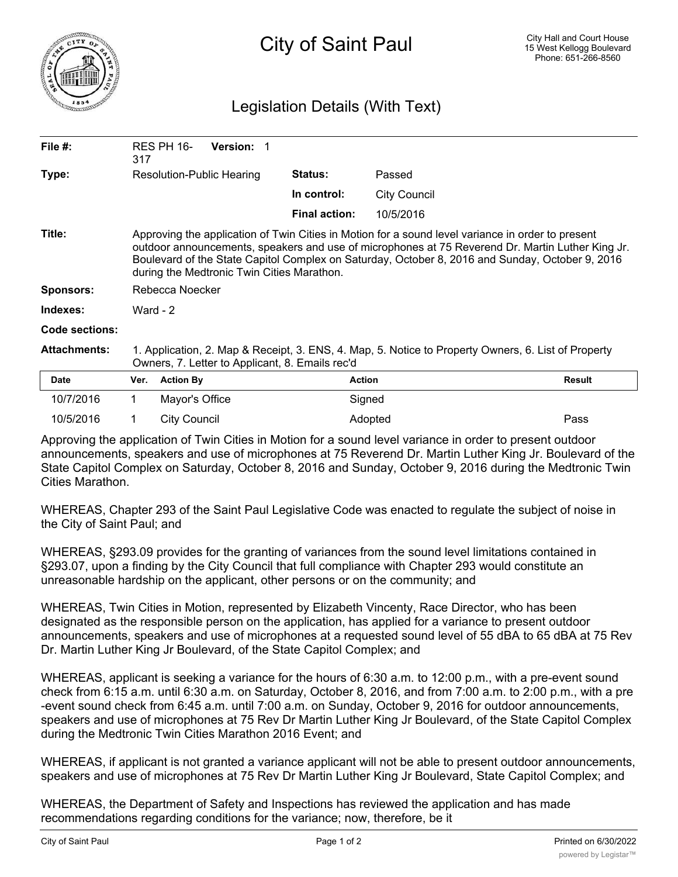

## Legislation Details (With Text)

| File $#$ :          | 317                                                                                                                                                                                                                                                                                                                                                    | <b>RES PH 16-</b> | <b>Version:</b> |                      |               |        |
|---------------------|--------------------------------------------------------------------------------------------------------------------------------------------------------------------------------------------------------------------------------------------------------------------------------------------------------------------------------------------------------|-------------------|-----------------|----------------------|---------------|--------|
| Type:               | Resolution-Public Hearing                                                                                                                                                                                                                                                                                                                              |                   |                 | <b>Status:</b>       | Passed        |        |
|                     |                                                                                                                                                                                                                                                                                                                                                        |                   | In control:     | <b>City Council</b>  |               |        |
|                     |                                                                                                                                                                                                                                                                                                                                                        |                   |                 | <b>Final action:</b> | 10/5/2016     |        |
| Title:              | Approving the application of Twin Cities in Motion for a sound level variance in order to present<br>outdoor announcements, speakers and use of microphones at 75 Reverend Dr. Martin Luther King Jr.<br>Boulevard of the State Capitol Complex on Saturday, October 8, 2016 and Sunday, October 9, 2016<br>during the Medtronic Twin Cities Marathon. |                   |                 |                      |               |        |
| <b>Sponsors:</b>    | Rebecca Noecker                                                                                                                                                                                                                                                                                                                                        |                   |                 |                      |               |        |
| Indexes:            | Ward - $2$                                                                                                                                                                                                                                                                                                                                             |                   |                 |                      |               |        |
| Code sections:      |                                                                                                                                                                                                                                                                                                                                                        |                   |                 |                      |               |        |
| <b>Attachments:</b> | 1. Application, 2. Map & Receipt, 3. ENS, 4. Map, 5. Notice to Property Owners, 6. List of Property<br>Owners, 7. Letter to Applicant, 8. Emails rec'd                                                                                                                                                                                                 |                   |                 |                      |               |        |
| <b>Date</b>         | Ver.                                                                                                                                                                                                                                                                                                                                                   | <b>Action By</b>  |                 |                      | <b>Action</b> | Result |
| 10/7/2016           | 1.                                                                                                                                                                                                                                                                                                                                                     | Mayor's Office    |                 |                      | Signed        |        |
| 10/5/2016           |                                                                                                                                                                                                                                                                                                                                                        | City Council      |                 |                      | Adopted       | Pass   |

Approving the application of Twin Cities in Motion for a sound level variance in order to present outdoor announcements, speakers and use of microphones at 75 Reverend Dr. Martin Luther King Jr. Boulevard of the State Capitol Complex on Saturday, October 8, 2016 and Sunday, October 9, 2016 during the Medtronic Twin Cities Marathon.

WHEREAS, Chapter 293 of the Saint Paul Legislative Code was enacted to regulate the subject of noise in the City of Saint Paul; and

WHEREAS, §293.09 provides for the granting of variances from the sound level limitations contained in §293.07, upon a finding by the City Council that full compliance with Chapter 293 would constitute an unreasonable hardship on the applicant, other persons or on the community; and

WHEREAS, Twin Cities in Motion, represented by Elizabeth Vincenty, Race Director, who has been designated as the responsible person on the application, has applied for a variance to present outdoor announcements, speakers and use of microphones at a requested sound level of 55 dBA to 65 dBA at 75 Rev Dr. Martin Luther King Jr Boulevard, of the State Capitol Complex; and

WHEREAS, applicant is seeking a variance for the hours of 6:30 a.m. to 12:00 p.m., with a pre-event sound check from 6:15 a.m. until 6:30 a.m. on Saturday, October 8, 2016, and from 7:00 a.m. to 2:00 p.m., with a pre -event sound check from 6:45 a.m. until 7:00 a.m. on Sunday, October 9, 2016 for outdoor announcements, speakers and use of microphones at 75 Rev Dr Martin Luther King Jr Boulevard, of the State Capitol Complex during the Medtronic Twin Cities Marathon 2016 Event; and

WHEREAS, if applicant is not granted a variance applicant will not be able to present outdoor announcements, speakers and use of microphones at 75 Rev Dr Martin Luther King Jr Boulevard, State Capitol Complex; and

WHEREAS, the Department of Safety and Inspections has reviewed the application and has made recommendations regarding conditions for the variance; now, therefore, be it